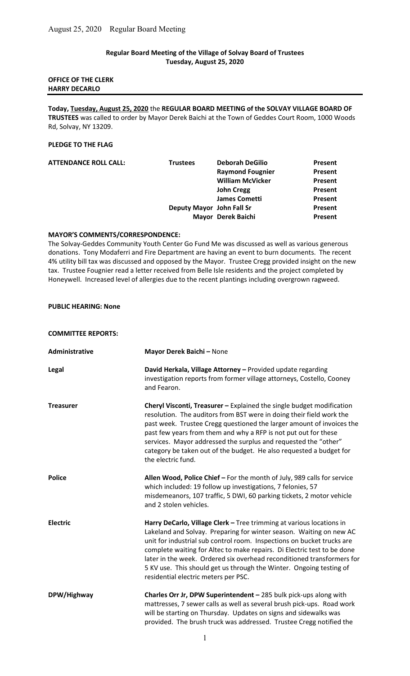## Regular Board Meeting of the Village of Solvay Board of Trustees Tuesday, August 25, 2020

#### OFFICE OF THE CLERK HARRY DECARLO

Today, Tuesday, August 25, 2020 the REGULAR BOARD MEETING of the SOLVAY VILLAGE BOARD OF TRUSTEES was called to order by Mayor Derek Baichi at the Town of Geddes Court Room, 1000 Woods Rd, Solvay, NY 13209.

## PLEDGE TO THE FLAG

| <b>ATTENDANCE ROLL CALL:</b> | <b>Trustees</b>           | <b>Deborah DeGilio</b>  | Present |
|------------------------------|---------------------------|-------------------------|---------|
|                              |                           | <b>Raymond Fougnier</b> | Present |
|                              |                           | <b>William McVicker</b> | Present |
|                              |                           | <b>John Cregg</b>       | Present |
|                              |                           | <b>James Cometti</b>    | Present |
|                              | Deputy Mayor John Fall Sr |                         | Present |
|                              |                           | Mayor Derek Baichi      | Present |
|                              |                           |                         |         |

#### MAYOR'S COMMENTS/CORRESPONDENCE:

The Solvay-Geddes Community Youth Center Go Fund Me was discussed as well as various generous donations. Tony Modaferri and Fire Department are having an event to burn documents. The recent 4% utility bill tax was discussed and opposed by the Mayor. Trustee Cregg provided insight on the new tax. Trustee Fougnier read a letter received from Belle Isle residents and the project completed by Honeywell. Increased level of allergies due to the recent plantings including overgrown ragweed.

## PUBLIC HEARING: None

COMMITTEE REPORTS:

| Administrative   | Mayor Derek Baichi - None                                                                                                                                                                                                                                                                                                                                                                                                                                                                 |
|------------------|-------------------------------------------------------------------------------------------------------------------------------------------------------------------------------------------------------------------------------------------------------------------------------------------------------------------------------------------------------------------------------------------------------------------------------------------------------------------------------------------|
| <b>Legal</b>     | David Herkala, Village Attorney - Provided update regarding<br>investigation reports from former village attorneys, Costello, Cooney<br>and Fearon.                                                                                                                                                                                                                                                                                                                                       |
| <b>Treasurer</b> | Cheryl Visconti, Treasurer - Explained the single budget modification<br>resolution. The auditors from BST were in doing their field work the<br>past week. Trustee Cregg questioned the larger amount of invoices the<br>past few years from them and why a RFP is not put out for these<br>services. Mayor addressed the surplus and requested the "other"<br>category be taken out of the budget. He also requested a budget for<br>the electric fund.                                 |
| <b>Police</b>    | Allen Wood, Police Chief - For the month of July, 989 calls for service<br>which included: 19 follow up investigations, 7 felonies, 57<br>misdemeanors, 107 traffic, 5 DWI, 60 parking tickets, 2 motor vehicle<br>and 2 stolen vehicles.                                                                                                                                                                                                                                                 |
| <b>Electric</b>  | Harry DeCarlo, Village Clerk - Tree trimming at various locations in<br>Lakeland and Solvay. Preparing for winter season. Waiting on new AC<br>unit for industrial sub control room. Inspections on bucket trucks are<br>complete waiting for Altec to make repairs. Di Electric test to be done<br>later in the week. Ordered six overhead reconditioned transformers for<br>5 KV use. This should get us through the Winter. Ongoing testing of<br>residential electric meters per PSC. |
| DPW/Highway      | Charles Orr Jr, DPW Superintendent - 285 bulk pick-ups along with<br>mattresses, 7 sewer calls as well as several brush pick-ups. Road work<br>will be starting on Thursday. Updates on signs and sidewalks was<br>provided. The brush truck was addressed. Trustee Cregg notified the                                                                                                                                                                                                    |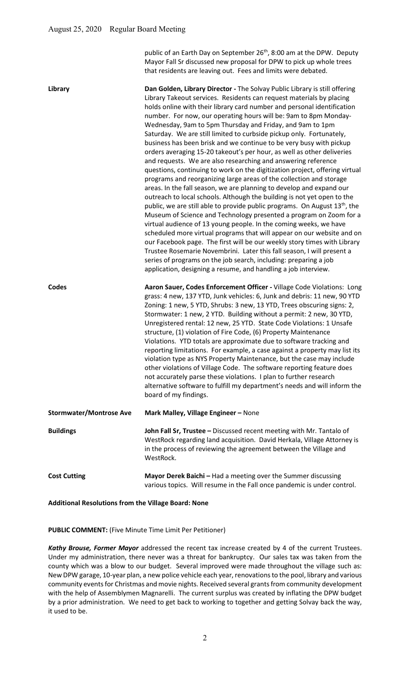public of an Earth Day on September 26<sup>th</sup>, 8:00 am at the DPW. Deputy Mayor Fall Sr discussed new proposal for DPW to pick up whole trees that residents are leaving out. Fees and limits were debated.

| Library                        | Dan Golden, Library Director - The Solvay Public Library is still offering<br>Library Takeout services. Residents can request materials by placing<br>holds online with their library card number and personal identification<br>number. For now, our operating hours will be: 9am to 8pm Monday-<br>Wednesday, 9am to 5pm Thursday and Friday, and 9am to 1pm<br>Saturday. We are still limited to curbside pickup only. Fortunately,<br>business has been brisk and we continue to be very busy with pickup<br>orders averaging 15-20 takeout's per hour, as well as other deliveries<br>and requests. We are also researching and answering reference<br>questions, continuing to work on the digitization project, offering virtual<br>programs and reorganizing large areas of the collection and storage<br>areas. In the fall season, we are planning to develop and expand our<br>outreach to local schools. Although the building is not yet open to the<br>public, we are still able to provide public programs. On August 13 <sup>th</sup> , the<br>Museum of Science and Technology presented a program on Zoom for a<br>virtual audience of 13 young people. In the coming weeks, we have<br>scheduled more virtual programs that will appear on our website and on<br>our Facebook page. The first will be our weekly story times with Library<br>Trustee Rosemarie Novembrini. Later this fall season, I will present a<br>series of programs on the job search, including: preparing a job<br>application, designing a resume, and handling a job interview. |
|--------------------------------|------------------------------------------------------------------------------------------------------------------------------------------------------------------------------------------------------------------------------------------------------------------------------------------------------------------------------------------------------------------------------------------------------------------------------------------------------------------------------------------------------------------------------------------------------------------------------------------------------------------------------------------------------------------------------------------------------------------------------------------------------------------------------------------------------------------------------------------------------------------------------------------------------------------------------------------------------------------------------------------------------------------------------------------------------------------------------------------------------------------------------------------------------------------------------------------------------------------------------------------------------------------------------------------------------------------------------------------------------------------------------------------------------------------------------------------------------------------------------------------------------------------------------------------------------------------------------|
| Codes                          | Aaron Sauer, Codes Enforcement Officer - Village Code Violations: Long<br>grass: 4 new, 137 YTD, Junk vehicles: 6, Junk and debris: 11 new, 90 YTD<br>Zoning: 1 new, 5 YTD, Shrubs: 3 new, 13 YTD, Trees obscuring signs: 2,<br>Stormwater: 1 new, 2 YTD. Building without a permit: 2 new, 30 YTD,<br>Unregistered rental: 12 new, 25 YTD. State Code Violations: 1 Unsafe<br>structure, (1) violation of Fire Code, (6) Property Maintenance<br>Violations. YTD totals are approximate due to software tracking and<br>reporting limitations. For example, a case against a property may list its<br>violation type as NYS Property Maintenance, but the case may include<br>other violations of Village Code. The software reporting feature does<br>not accurately parse these violations. I plan to further research<br>alternative software to fulfill my department's needs and will inform the<br>board of my findings.                                                                                                                                                                                                                                                                                                                                                                                                                                                                                                                                                                                                                                              |
| <b>Stormwater/Montrose Ave</b> | Mark Malley, Village Engineer - None                                                                                                                                                                                                                                                                                                                                                                                                                                                                                                                                                                                                                                                                                                                                                                                                                                                                                                                                                                                                                                                                                                                                                                                                                                                                                                                                                                                                                                                                                                                                         |
| <b>Buildings</b>               | John Fall Sr, Trustee - Discussed recent meeting with Mr. Tantalo of<br>WestRock regarding land acquisition. David Herkala, Village Attorney is<br>in the process of reviewing the agreement between the Village and<br>WestRock.                                                                                                                                                                                                                                                                                                                                                                                                                                                                                                                                                                                                                                                                                                                                                                                                                                                                                                                                                                                                                                                                                                                                                                                                                                                                                                                                            |
| <b>Cost Cutting</b>            | Mayor Derek Baichi - Had a meeting over the Summer discussing<br>various topics. Will resume in the Fall once pandemic is under control.                                                                                                                                                                                                                                                                                                                                                                                                                                                                                                                                                                                                                                                                                                                                                                                                                                                                                                                                                                                                                                                                                                                                                                                                                                                                                                                                                                                                                                     |

#### Additional Resolutions from the Village Board: None

#### PUBLIC COMMENT: (Five Minute Time Limit Per Petitioner)

Kathy Brouse, Former Mayor addressed the recent tax increase created by 4 of the current Trustees. Under my administration, there never was a threat for bankruptcy. Our sales tax was taken from the county which was a blow to our budget. Several improved were made throughout the village such as: New DPW garage, 10-year plan, a new police vehicle each year, renovations to the pool, library and various community events for Christmas and movie nights. Received several grants from community development with the help of Assemblymen Magnarelli. The current surplus was created by inflating the DPW budget by a prior administration. We need to get back to working to together and getting Solvay back the way, it used to be.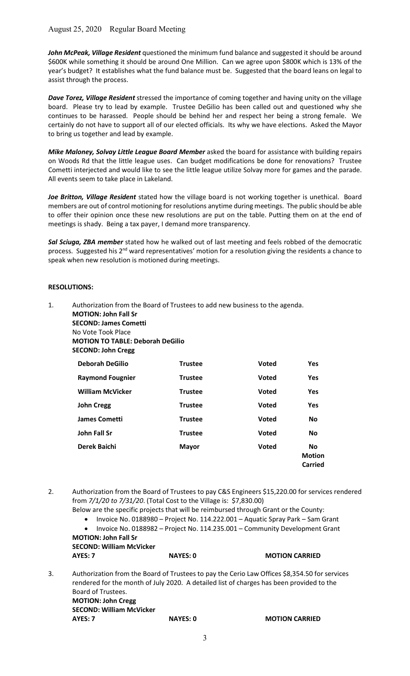# August 25, 2020 Regular Board Meeting

John McPeak, Village Resident questioned the minimum fund balance and suggested it should be around \$600K while something it should be around One Million. Can we agree upon \$800K which is 13% of the year's budget? It establishes what the fund balance must be. Suggested that the board leans on legal to assist through the process.

Dave Torez, Village Resident stressed the importance of coming together and having unity on the village board. Please try to lead by example. Trustee DeGilio has been called out and questioned why she continues to be harassed. People should be behind her and respect her being a strong female. We certainly do not have to support all of our elected officials. Its why we have elections. Asked the Mayor to bring us together and lead by example.

Mike Maloney, Solvay Little League Board Member asked the board for assistance with building repairs on Woods Rd that the little league uses. Can budget modifications be done for renovations? Trustee Cometti interjected and would like to see the little league utilize Solvay more for games and the parade. All events seem to take place in Lakeland.

Joe Britton, Village Resident stated how the village board is not working together is unethical. Board members are out of control motioning for resolutions anytime during meetings. The public should be able to offer their opinion once these new resolutions are put on the table. Putting them on at the end of meetings is shady. Being a tax payer, I demand more transparency.

Sal Sciuga, ZBA member stated how he walked out of last meeting and feels robbed of the democratic process. Suggested his 2<sup>nd</sup> ward representatives' motion for a resolution giving the residents a chance to speak when new resolution is motioned during meetings.

#### RESOLUTIONS:

| 1. | Authorization from the Board of Trustees to add new business to the agenda. |                |              |                                       |
|----|-----------------------------------------------------------------------------|----------------|--------------|---------------------------------------|
|    | <b>MOTION: John Fall Sr</b>                                                 |                |              |                                       |
|    | <b>SECOND: James Cometti</b>                                                |                |              |                                       |
|    | No Vote Took Place                                                          |                |              |                                       |
|    | <b>MOTION TO TABLE: Deborah DeGilio</b>                                     |                |              |                                       |
|    | <b>SECOND: John Cregg</b>                                                   |                |              |                                       |
|    | <b>Deborah DeGilio</b>                                                      | <b>Trustee</b> | <b>Voted</b> | <b>Yes</b>                            |
|    | <b>Raymond Fougnier</b>                                                     | <b>Trustee</b> | <b>Voted</b> | <b>Yes</b>                            |
|    | <b>William McVicker</b>                                                     | <b>Trustee</b> | <b>Voted</b> | <b>Yes</b>                            |
|    | <b>John Cregg</b>                                                           | <b>Trustee</b> | <b>Voted</b> | <b>Yes</b>                            |
|    | <b>James Cometti</b>                                                        | <b>Trustee</b> | <b>Voted</b> | <b>No</b>                             |
|    | John Fall Sr                                                                | <b>Trustee</b> | <b>Voted</b> | <b>No</b>                             |
|    | Derek Baichi                                                                | <b>Mayor</b>   | <b>Voted</b> | <b>No</b><br><b>Motion</b><br>Carried |

2. Authorization from the Board of Trustees to pay C&S Engineers \$15,220.00 for services rendered from 7/1/20 to 7/31/20. (Total Cost to the Village is: \$7,830.00)

Below are the specific projects that will be reimbursed through Grant or the County:

- Invoice No. 0188980 Project No. 114.222.001 Aquatic Spray Park Sam Grant
- Invoice No. 0188982 Project No. 114.235.001 Community Development Grant

MOTION: John Fall Sr SECOND: William McVicker

|    | AYES: 7            | <b>NAYES: 0</b> | <b>MOTION CARRIED</b>                                                                                                                                                                     |
|----|--------------------|-----------------|-------------------------------------------------------------------------------------------------------------------------------------------------------------------------------------------|
| 3. |                    |                 | Authorization from the Board of Trustees to pay the Cerio Law Offices \$8,354.50 for services<br>rendered for the month of July 2020. A detailed list of charges has been provided to the |
|    | Board of Trustees. |                 |                                                                                                                                                                                           |

 MOTION: John Cregg SECOND: William McVicker AYES: 7 NAYES: 0 MOTION CARRIED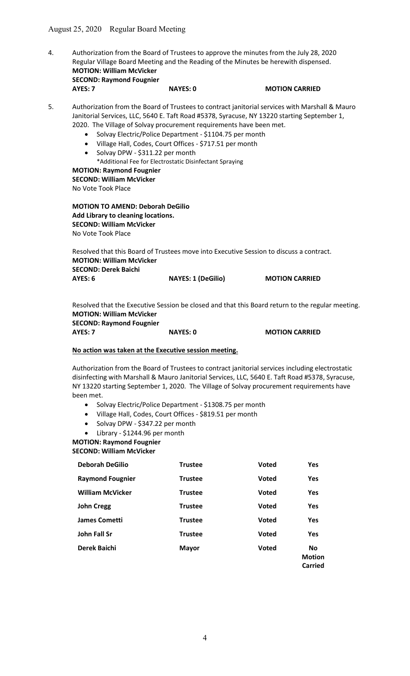| 4. |                                 |                 | Authorization from the Board of Trustees to approve the minutes from the July 28, 2020 |
|----|---------------------------------|-----------------|----------------------------------------------------------------------------------------|
|    |                                 |                 | Regular Village Board Meeting and the Reading of the Minutes be herewith dispensed.    |
|    | <b>MOTION: William McVicker</b> |                 |                                                                                        |
|    | <b>SECOND: Raymond Fougnier</b> |                 |                                                                                        |
|    | AYES: 7                         | <b>NAYES: 0</b> | <b>MOTION CARRIED</b>                                                                  |

| 5. | Authorization from the Board of Trustees to contract janitorial services with Marshall & Mauro |
|----|------------------------------------------------------------------------------------------------|
|    | Janitorial Services, LLC, 5640 E. Taft Road #5378, Syracuse, NY 13220 starting September 1,    |
|    | 2020. The Village of Solvay procurement requirements have been met.                            |

- Solvay Electric/Police Department \$1104.75 per month
- Village Hall, Codes, Court Offices \$717.51 per month
- Solvay DPW \$311.22 per month
	- \*Additional Fee for Electrostatic Disinfectant Spraying

# MOTION: Raymond Fougnier SECOND: William McVicker

No Vote Took Place

MOTION TO AMEND: Deborah DeGilio Add Library to cleaning locations. SECOND: William McVicker No Vote Took Place

 Resolved that this Board of Trustees move into Executive Session to discuss a contract. MOTION: William McVicker SECOND: Derek Baichi AYES: 6 NAYES: 1 (DeGilio) MOTION CARRIED

 Resolved that the Executive Session be closed and that this Board return to the regular meeting. MOTION: William McVicker SECOND: Raymond Fougnier

AYES: 7 NAYES: 0 MOTION CARRIED

#### No action was taken at the Executive session meeting.

Authorization from the Board of Trustees to contract janitorial services including electrostatic disinfecting with Marshall & Mauro Janitorial Services, LLC, 5640 E. Taft Road #5378, Syracuse, NY 13220 starting September 1, 2020. The Village of Solvay procurement requirements have been met.

- Solvay Electric/Police Department \$1308.75 per month
- Village Hall, Codes, Court Offices \$819.51 per month
- Solvay DPW \$347.22 per month
- Library \$1244.96 per month

MOTION: Raymond Fougnier

SECOND: William McVicker

| <b>Deborah DeGilio</b>  | <b>Trustee</b> | <b>Voted</b> | <b>Yes</b>                            |
|-------------------------|----------------|--------------|---------------------------------------|
| <b>Raymond Fougnier</b> | <b>Trustee</b> | <b>Voted</b> | Yes                                   |
| <b>William McVicker</b> | <b>Trustee</b> | <b>Voted</b> | Yes                                   |
| <b>John Cregg</b>       | <b>Trustee</b> | <b>Voted</b> | <b>Yes</b>                            |
| <b>James Cometti</b>    | <b>Trustee</b> | <b>Voted</b> | Yes                                   |
| John Fall Sr            | <b>Trustee</b> | <b>Voted</b> | Yes                                   |
| Derek Baichi            | <b>Mayor</b>   | <b>Voted</b> | <b>No</b><br><b>Motion</b><br>Carried |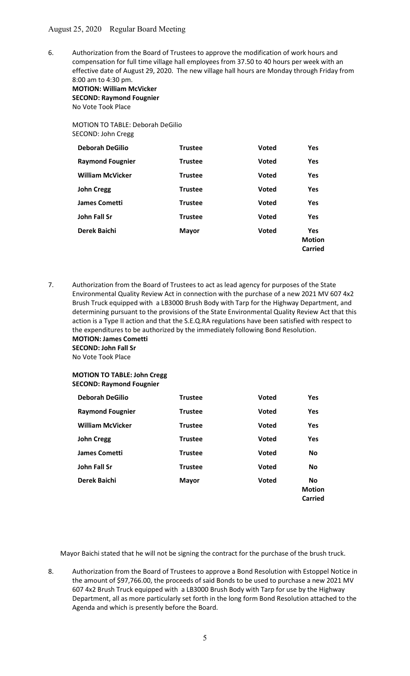6. Authorization from the Board of Trustees to approve the modification of work hours and compensation for full time village hall employees from 37.50 to 40 hours per week with an effective date of August 29, 2020. The new village hall hours are Monday through Friday from 8:00 am to 4:30 pm.

 MOTION: William McVicker SECOND: Raymond Fougnier No Vote Took Place

#### MOTION TO TABLE: Deborah DeGilio SECOND: John Cregg

| <b>Deborah DeGilio</b>  | <b>Trustee</b> | <b>Voted</b> | <b>Yes</b>                             |
|-------------------------|----------------|--------------|----------------------------------------|
| <b>Raymond Fougnier</b> | <b>Trustee</b> | <b>Voted</b> | <b>Yes</b>                             |
| <b>William McVicker</b> | <b>Trustee</b> | <b>Voted</b> | <b>Yes</b>                             |
| <b>John Cregg</b>       | <b>Trustee</b> | <b>Voted</b> | <b>Yes</b>                             |
| <b>James Cometti</b>    | <b>Trustee</b> | <b>Voted</b> | <b>Yes</b>                             |
| John Fall Sr            | <b>Trustee</b> | <b>Voted</b> | <b>Yes</b>                             |
| Derek Baichi            | <b>Mayor</b>   | <b>Voted</b> | <b>Yes</b><br><b>Motion</b><br>Carried |

7. Authorization from the Board of Trustees to act as lead agency for purposes of the State Environmental Quality Review Act in connection with the purchase of a new 2021 MV 607 4x2 Brush Truck equipped with a LB3000 Brush Body with Tarp for the Highway Department, and determining pursuant to the provisions of the State Environmental Quality Review Act that this action is a Type II action and that the S.E.Q.RA regulations have been satisfied with respect to the expenditures to be authorized by the immediately following Bond Resolution. MOTION: James Cometti

 SECOND: John Fall Sr No Vote Took Place

# MOTION TO TABLE: John Cregg SECOND: Raymond Fougnier

| <b>Deborah DeGilio</b>  | <b>Trustee</b> | <b>Voted</b> | <b>Yes</b>                            |
|-------------------------|----------------|--------------|---------------------------------------|
| <b>Raymond Fougnier</b> | <b>Trustee</b> | <b>Voted</b> | <b>Yes</b>                            |
| <b>William McVicker</b> | <b>Trustee</b> | <b>Voted</b> | <b>Yes</b>                            |
| <b>John Cregg</b>       | <b>Trustee</b> | <b>Voted</b> | <b>Yes</b>                            |
| <b>James Cometti</b>    | <b>Trustee</b> | <b>Voted</b> | <b>No</b>                             |
| John Fall Sr            | <b>Trustee</b> | <b>Voted</b> | <b>No</b>                             |
| Derek Baichi            | <b>Mayor</b>   | <b>Voted</b> | <b>No</b><br><b>Motion</b><br>Carried |

Mayor Baichi stated that he will not be signing the contract for the purchase of the brush truck.

8. Authorization from the Board of Trustees to approve a Bond Resolution with Estoppel Notice in the amount of \$97,766.00, the proceeds of said Bonds to be used to purchase a new 2021 MV 607 4x2 Brush Truck equipped with a LB3000 Brush Body with Tarp for use by the Highway Department, all as more particularly set forth in the long form Bond Resolution attached to the Agenda and which is presently before the Board.